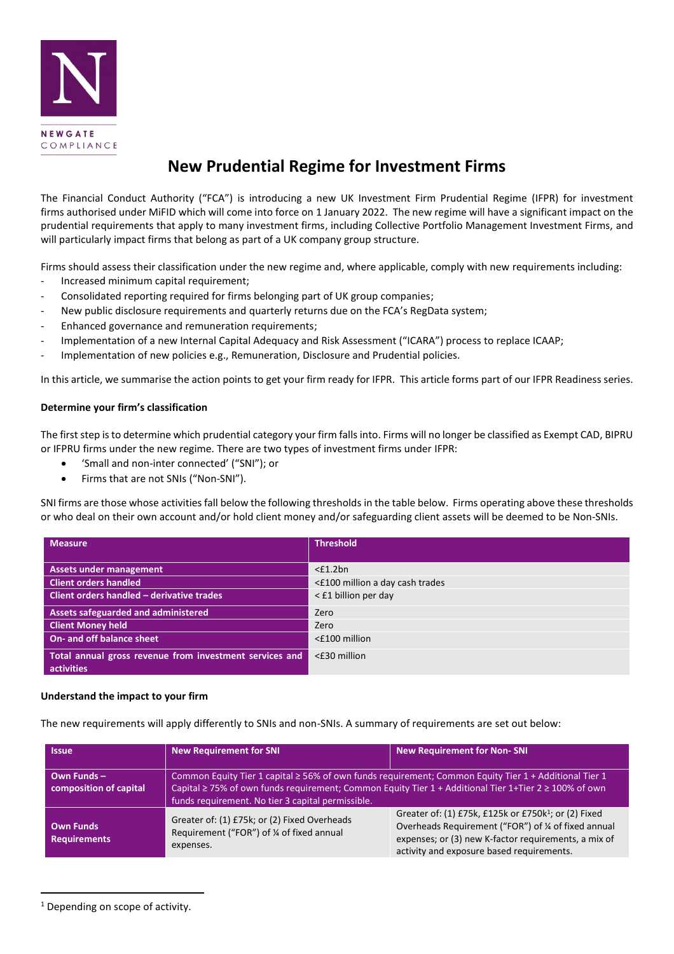

# **New Prudential Regime for Investment Firms**

The Financial Conduct Authority ("FCA") is introducing a new UK Investment Firm Prudential Regime (IFPR) for investment firms authorised under MiFID which will come into force on 1 January 2022. The new regime will have a significant impact on the prudential requirements that apply to many investment firms, including Collective Portfolio Management Investment Firms, and will particularly impact firms that belong as part of a UK company group structure.

Firms should assess their classification under the new regime and, where applicable, comply with new requirements including:

- Increased minimum capital requirement;
- Consolidated reporting required for firms belonging part of UK group companies;
- New public disclosure requirements and quarterly returns due on the FCA's RegData system;
- Enhanced governance and remuneration requirements;
- Implementation of a new Internal Capital Adequacy and Risk Assessment ("ICARA") process to replace ICAAP;
- Implementation of new policies e.g., Remuneration, Disclosure and Prudential policies.

In this article, we summarise the action points to get your firm ready for IFPR. This article forms part of our IFPR Readiness series.

#### **Determine your firm's classification**

The first step is to determine which prudential category your firm falls into. Firms will no longer be classified as Exempt CAD, BIPRU or IFPRU firms under the new regime. There are two types of investment firms under IFPR:

- 'Small and non-inter connected' ("SNI"); or
- Firms that are not SNIs ("Non-SNI").

SNI firms are those whose activities fall below the following thresholds in the table below. Firms operating above these thresholds or who deal on their own account and/or hold client money and/or safeguarding client assets will be deemed to be Non-SNIs.

| <b>Measure</b>                                          | <b>Threshold</b>                |
|---------------------------------------------------------|---------------------------------|
|                                                         |                                 |
| <b>Assets under management</b>                          | $<$ £1.2bn                      |
| <b>Client orders handled</b>                            | <£100 million a day cash trades |
| Client orders handled - derivative trades               | < £1 billion per day            |
| <b>Assets safeguarded and administered</b>              | Zero                            |
| <b>Client Money held</b>                                | Zero                            |
| On- and off balance sheet                               | <£100 million                   |
| Total annual gross revenue from investment services and | <£30 million                    |
| activities                                              |                                 |

## **Understand the impact to your firm**

The new requirements will apply differently to SNIs and non-SNIs. A summary of requirements are set out below:

| <b>Issue</b>                            | <b>New Requirement for SNI</b>                                                                                                                                                                                                                                                | <b>New Requirement for Non-SNI</b>                                                                                                                                                                                            |
|-----------------------------------------|-------------------------------------------------------------------------------------------------------------------------------------------------------------------------------------------------------------------------------------------------------------------------------|-------------------------------------------------------------------------------------------------------------------------------------------------------------------------------------------------------------------------------|
| Own Funds $-$<br>composition of capital | Common Equity Tier 1 capital ≥ 56% of own funds requirement; Common Equity Tier 1 + Additional Tier 1<br>Capital $\geq$ 75% of own funds requirement; Common Equity Tier 1 + Additional Tier 1+Tier 2 $\geq$ 100% of own<br>funds requirement. No tier 3 capital permissible. |                                                                                                                                                                                                                               |
| <b>Own Funds</b><br><b>Requirements</b> | Greater of: (1) £75k; or (2) Fixed Overheads<br>Requirement ("FOR") of % of fixed annual<br>expenses.                                                                                                                                                                         | Greater of: (1) £75k, £125k or £750k <sup>1</sup> ; or (2) Fixed<br>Overheads Requirement ("FOR") of 1/4 of fixed annual<br>expenses; or (3) new K-factor requirements, a mix of<br>activity and exposure based requirements. |

<sup>&</sup>lt;sup>1</sup> Depending on scope of activity.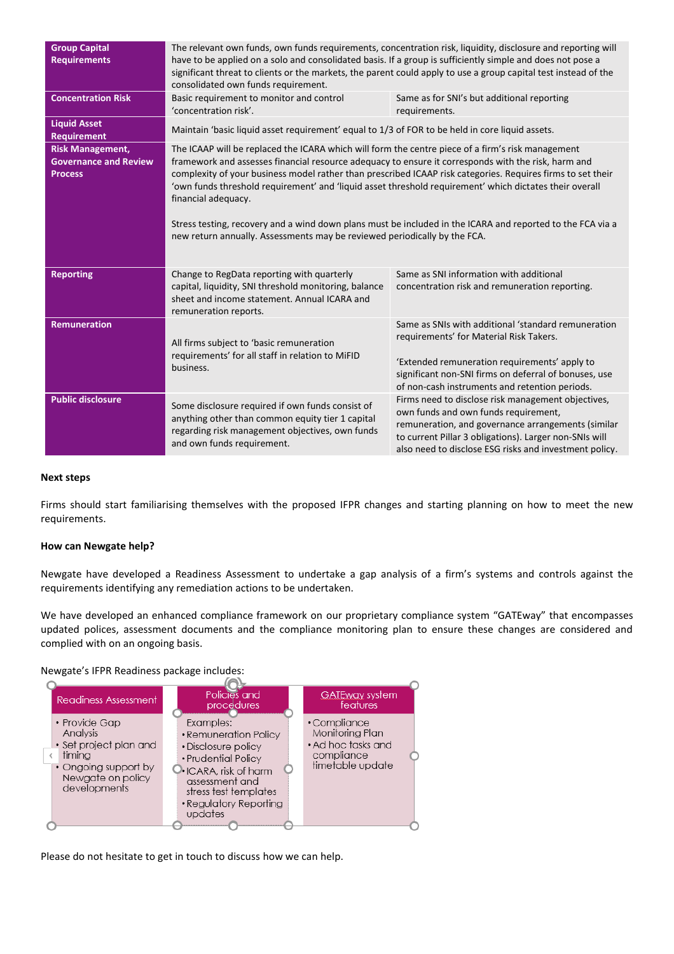| <b>Group Capital</b><br><b>Requirements</b><br><b>Concentration Risk</b>  | The relevant own funds, own funds requirements, concentration risk, liquidity, disclosure and reporting will<br>have to be applied on a solo and consolidated basis. If a group is sufficiently simple and does not pose a<br>significant threat to clients or the markets, the parent could apply to use a group capital test instead of the<br>consolidated own funds requirement.<br>Basic requirement to monitor and control<br>Same as for SNI's but additional reporting<br>'concentration risk'.<br>requirements.                                                                                                                             |                                                                                                                                                                                                                                                                      |
|---------------------------------------------------------------------------|------------------------------------------------------------------------------------------------------------------------------------------------------------------------------------------------------------------------------------------------------------------------------------------------------------------------------------------------------------------------------------------------------------------------------------------------------------------------------------------------------------------------------------------------------------------------------------------------------------------------------------------------------|----------------------------------------------------------------------------------------------------------------------------------------------------------------------------------------------------------------------------------------------------------------------|
| <b>Liquid Asset</b><br><b>Requirement</b>                                 | Maintain 'basic liquid asset requirement' equal to 1/3 of FOR to be held in core liquid assets.                                                                                                                                                                                                                                                                                                                                                                                                                                                                                                                                                      |                                                                                                                                                                                                                                                                      |
| <b>Risk Management,</b><br><b>Governance and Review</b><br><b>Process</b> | The ICAAP will be replaced the ICARA which will form the centre piece of a firm's risk management<br>framework and assesses financial resource adequacy to ensure it corresponds with the risk, harm and<br>complexity of your business model rather than prescribed ICAAP risk categories. Requires firms to set their<br>'own funds threshold requirement' and 'liquid asset threshold requirement' which dictates their overall<br>financial adequacy.<br>Stress testing, recovery and a wind down plans must be included in the ICARA and reported to the FCA via a<br>new return annually. Assessments may be reviewed periodically by the FCA. |                                                                                                                                                                                                                                                                      |
| <b>Reporting</b>                                                          | Change to RegData reporting with quarterly<br>capital, liquidity, SNI threshold monitoring, balance<br>sheet and income statement. Annual ICARA and<br>remuneration reports.                                                                                                                                                                                                                                                                                                                                                                                                                                                                         | Same as SNI information with additional<br>concentration risk and remuneration reporting.                                                                                                                                                                            |
| <b>Remuneration</b>                                                       | All firms subject to 'basic remuneration<br>requirements' for all staff in relation to MiFID<br>business.                                                                                                                                                                                                                                                                                                                                                                                                                                                                                                                                            | Same as SNIs with additional 'standard remuneration<br>requirements' for Material Risk Takers.<br>'Extended remuneration requirements' apply to<br>significant non-SNI firms on deferral of bonuses, use<br>of non-cash instruments and retention periods.           |
| <b>Public disclosure</b>                                                  | Some disclosure required if own funds consist of<br>anything other than common equity tier 1 capital<br>regarding risk management objectives, own funds<br>and own funds requirement.                                                                                                                                                                                                                                                                                                                                                                                                                                                                | Firms need to disclose risk management objectives,<br>own funds and own funds requirement,<br>remuneration, and governance arrangements (similar<br>to current Pillar 3 obligations). Larger non-SNIs will<br>also need to disclose ESG risks and investment policy. |

## **Next steps**

Firms should start familiarising themselves with the proposed IFPR changes and starting planning on how to meet the new requirements.

#### **How can Newgate help?**

Newgate have developed a Readiness Assessment to undertake a gap analysis of a firm's systems and controls against the requirements identifying any remediation actions to be undertaken.

We have developed an enhanced compliance framework on our proprietary compliance system "GATEway" that encompasses updated polices, assessment documents and the compliance monitoring plan to ensure these changes are considered and complied with on an ongoing basis.



Please do not hesitate to get in touch to discuss how we can help.